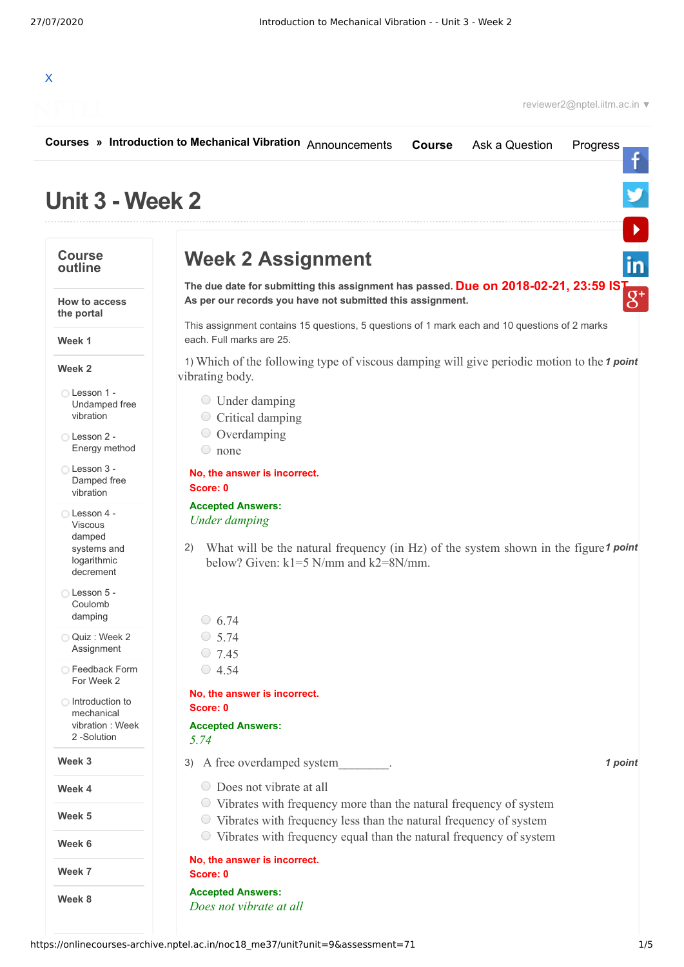

|                                                                                     | Courses » Introduction to Mechanical Vibration Announcements<br><b>Course</b><br>Ask a Question<br>Progress                                                                                  |
|-------------------------------------------------------------------------------------|----------------------------------------------------------------------------------------------------------------------------------------------------------------------------------------------|
| Unit 3 - Week 2                                                                     |                                                                                                                                                                                              |
| <b>Course</b><br>outline                                                            | <b>Week 2 Assignment</b>                                                                                                                                                                     |
| How to access<br>the portal                                                         | The due date for submitting this assignment has passed. Due on 2018-02-21, 23:59 IST As per our records you have not submitted this assignment.                                              |
| Week 1                                                                              | This assignment contains 15 questions, 5 questions of 1 mark each and 10 questions of 2 marks<br>each. Full marks are 25.                                                                    |
| Week 2                                                                              | 1) Which of the following type of viscous damping will give periodic motion to the 1 point<br>vibrating body.                                                                                |
| ◯ Lesson 1 -<br>Undamped free<br>vibration                                          | $\circ$ Under damping<br>$\circ$ Critical damping                                                                                                                                            |
| Lesson 2 -<br>Energy method                                                         | $\circ$ Overdamping<br>$\circ$ none                                                                                                                                                          |
| ◯ Lesson 3 -<br>Damped free<br>vibration                                            | No, the answer is incorrect.<br>Score: 0                                                                                                                                                     |
| ◯ Lesson 4 -<br><b>Viscous</b><br>damped<br>systems and<br>logarithmic<br>decrement | <b>Accepted Answers:</b><br><b>Under damping</b><br>What will be the natural frequency (in Hz) of the system shown in the figure 1 point<br>2)<br>below? Given: $k1=5$ N/mm and $k2=8$ N/mm. |
| Lesson 5 -<br>Coulomb<br>damping                                                    | $\circ$ 6.74                                                                                                                                                                                 |
| Quiz: Week 2<br>Assignment                                                          | $\circ$ 5.74<br>$\circ$ 7.45                                                                                                                                                                 |
| ◯ Feedback Form<br>For Week 2                                                       | $\circ$ 4.54                                                                                                                                                                                 |
| ◯ Introduction to<br>mechanical<br>vibration: Week<br>2-Solution                    | No, the answer is incorrect.<br>Score: 0<br><b>Accepted Answers:</b><br>5.74                                                                                                                 |
| Week 3                                                                              | 3) A free overdamped system<br>1 point                                                                                                                                                       |
| Week 4                                                                              | ◯ Does not vibrate at all                                                                                                                                                                    |
| Week 5                                                                              | • Vibrates with frequency more than the natural frequency of system<br>$\circ$ Vibrates with frequency less than the natural frequency of system                                             |
| Week 6                                                                              | ◯ Vibrates with frequency equal than the natural frequency of system<br>No, the answer is incorrect.                                                                                         |
| Week 7                                                                              | Score: 0                                                                                                                                                                                     |
| Week 8                                                                              | <b>Accepted Answers:</b><br>Does not vibrate at all                                                                                                                                          |

https://onlinecourses-archive.nptel.ac.in/noc18\_me37/unit?unit=9&assessment=71 1/5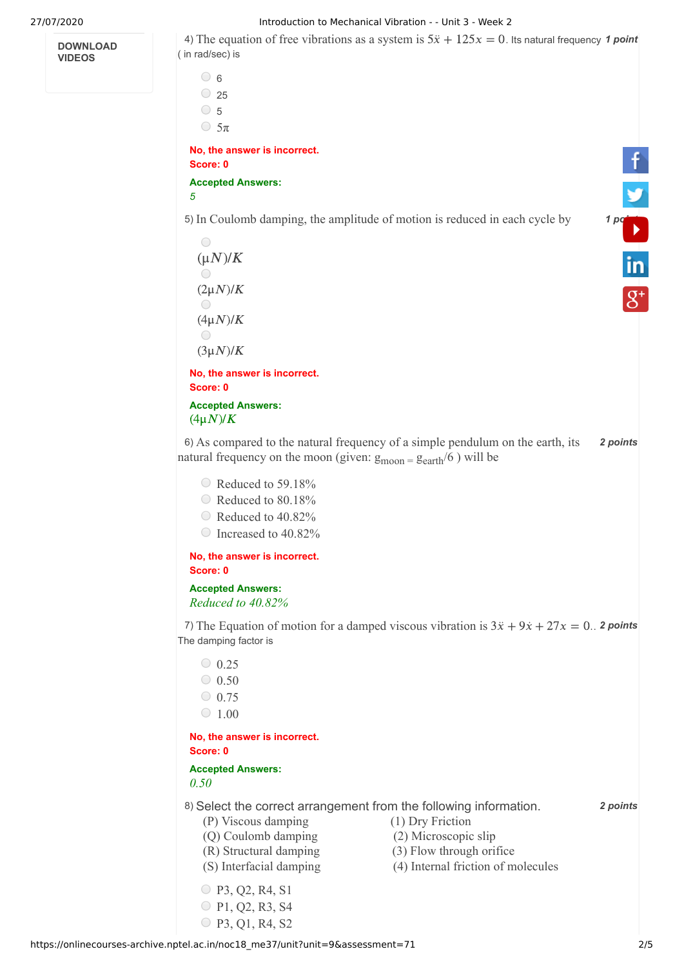**DOWNLOAD VIDEOS**

27/07/2020 Introduction to Mechanical Vibration - - Unit 3 - Week 2

4) The equation of free vibrations as a system is  $5\ddot{x} + 125x = 0$ . Its natural frequency 1 point ( in rad/sec) is

 $\circ$  6  $\circ$  25  $\circ$  5

 $\bigcirc$  5π

**No, the answer is incorrect. Score: 0**

**Accepted Answers:** *5*

5) In Coulomb damping, the amplitude of motion is reduced in each cycle by **1 [point](https://www.youtube.com/user/nptelhrd)** 

 $\bigcirc$  $(\mu N)/K$  $\bigcap$  $(2\mu N)/K$  $\bigcap$  $(4\mu N)/K$  $\bigcirc$  $(3\mu N)/K$ 

**No, the answer is incorrect. Score: 0 Accepted Answers:**

 $(4\mu N)/K$ 

6) *2 points* As compared to the natural frequency of a simple pendulum on the earth, its natural frequency on the moon (given:  $g_{\text{moon}} = g_{\text{earth}}/6$ ) will be

- Reduced to 59.18%
- Reduced to 80.18%
- Reduced to 40.82%
- Increased to 40.82%

**No, the answer is incorrect. Score: 0**

**Accepted Answers:** *Reduced to 40.82%* 

7) The Equation of motion for a damped viscous vibration is  $3\ddot{x} + 9\dot{x} + 27x = 0$ . **2** points The damping factor is

 $\bigcirc$  0.25  $\degree$  0.50  $\circ$  0.75  $\degree$  1.00

**No, the answer is incorrect. Score: 0**

**Accepted Answers:**

*0.50* 

8) *2 points* Select the correct arrangement from the following information.

- (P) Viscous damping (1) Dry Friction
- (Q) Coulomb damping (2) Microscopic slip
- (R) Structural damping (3) Flow through orifice
- (S) Interfacial damping (4) Internal friction of molecules
- P3, Q2, R4, S1 P1, Q2, R3, S4
- P3, Q1, R4, S2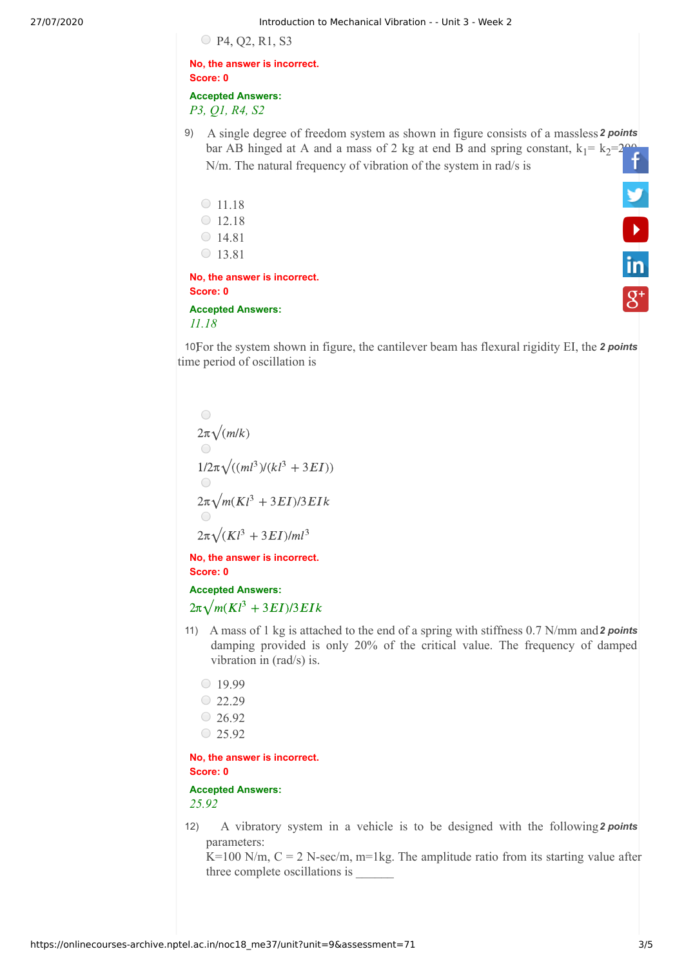P4, Q2, R1, S3

**No, the answer is incorrect. Score: 0 Accepted Answers:**

*P3, Q1, R4, S2*

- 9) A single degree of freedom system as shown in figure consists of a massless 2 points bar AB hinged at A and a mass of 2 kg at end B and spring constant,  $k_1 = k_2 = 200$ N/m. The natural frequency of vibration of the system in rad/s is
	- $\circ$  11.18  $\bigcirc$  12.18  $\bigcirc$  14.81  $\bigcirc$  13.81

# **No, the answer is incorrect. Score: 0**

## **Accepted Answers:** *11.18*

10For the system shown in figure, the cantilever beam has flexural rigidity EI, the 2 points time period of oscillation is

 $\bigcirc$  $2\pi\sqrt{(m/k)}$  $1/2\pi\sqrt{((ml^3)/(kl^3+3EI))}$  $2\pi\sqrt{m(Kl^3+3EI)/3EIk}$  $2\pi\sqrt{(Kl^3+3EI)/ml^3}$ 

**No, the answer is incorrect. Score: 0**

### **Accepted Answers:**

 $2\pi\sqrt{m(Kl^3+3EI)/3EIk}$ 

- 11) A mass of 1 kg is attached to the end of a spring with stiffness 0.7 N/mm and 2 points damping provided is only 20% of the critical value. The frequency of damped vibration in (rad/s) is.
	- $0.19.99$  $22.29$  $\degree$  26.92
	- $025.92$

## **No, the answer is incorrect. Score: 0**

## **Accepted Answers:** *25.92*

12) A vibratory system in a vehicle is to be designed with the following 2 points parameters:

K=100 N/m,  $C = 2$  N-sec/m, m=1kg. The amplitude ratio from its starting value after three complete oscillations is \_\_\_\_\_\_

**V**<br>in

 $\overline{g}$ +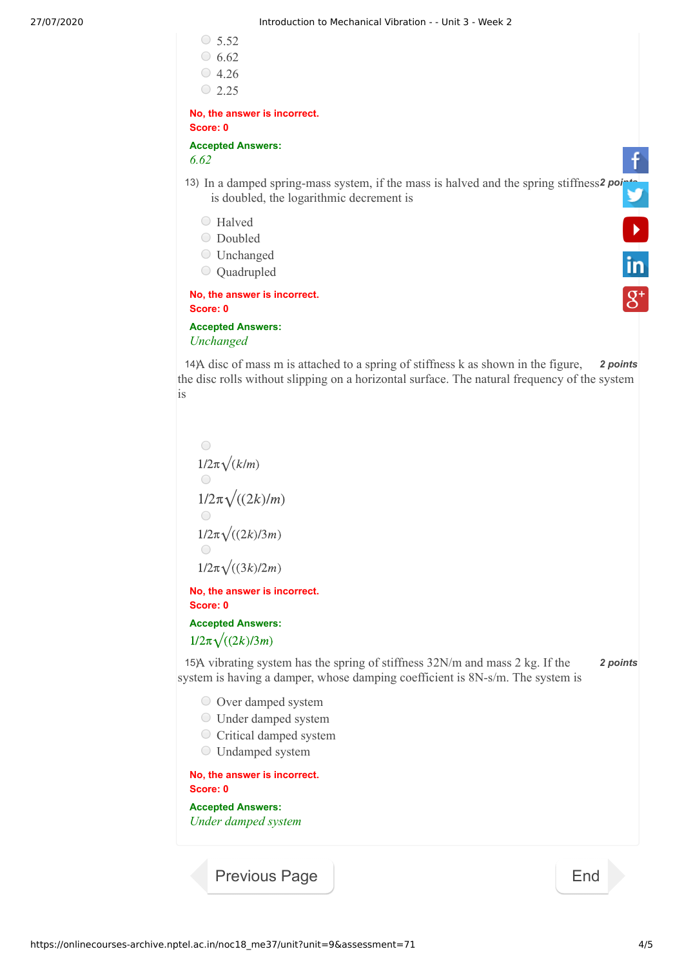

```
is
```


**Accepted Answers:**

*Under damped system*

[Previous Page](https://onlinecourses-archive.nptel.ac.in/noc18_me37/unit?unit=9&lesson=101) **[End](https://onlinecourses-archive.nptel.ac.in/noc18_me37/course)**